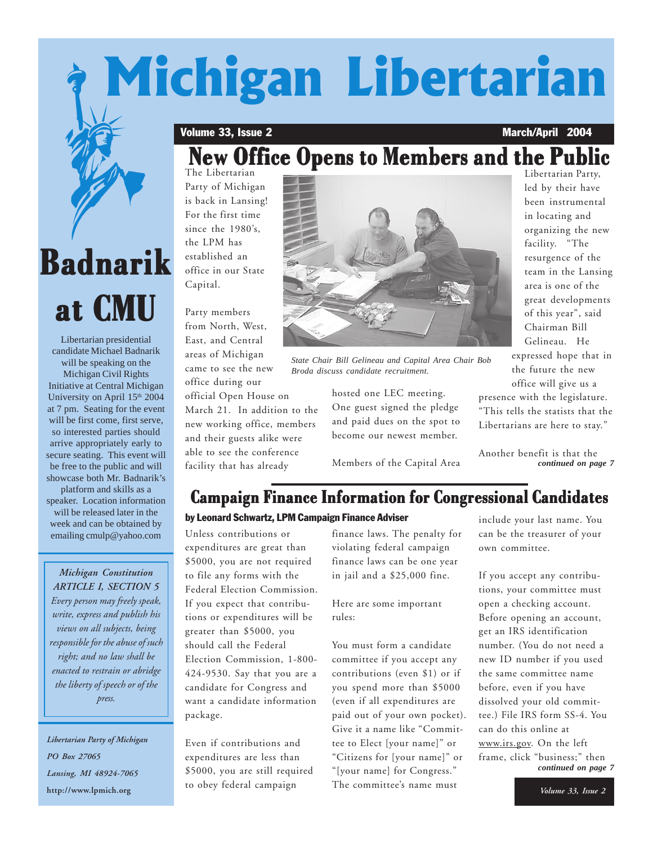# **Michigan Libertarian**

#### Volume 33, Issue 2 March/April 2004

# **New Office Opens to Members and the Public New Office Opens to Members and the Public New Office Opens to Members and the Public**

The Libertarian Party of Michigan is back in Lansing! For the first time since the 1980's, the LPM has established an office in our State Capital.

Party members from North, West, East, and Central areas of Michigan came to see the new office during our

official Open House on March 21. In addition to the new working office, members and their guests alike were able to see the conference facility that has already



*State Chair Bill Gelineau and Capital Area Chair Bob Broda discuss candidate recruitment.*

hosted one LEC meeting. One guest signed the pledge and paid dues on the spot to become our newest member.

Members of the Capital Area

Libertarian Party, led by their have been instrumental in locating and organizing the new facility. "The resurgence of the team in the Lansing area is one of the great developments of this year", said Chairman Bill Gelineau. He expressed hope that in the future the new office will give us a presence with the legislature. "This tells the statists that the Libertarians are here to stay."

Another benefit is that the *continued on page 7*

## **Campaign Finance Information for Congressional Candidates**

#### by Leonard Schwartz, LPM Campaign Finance Adviser

Unless contributions or expenditures are great than \$5000, you are not required to file any forms with the Federal Election Commission. If you expect that contributions or expenditures will be greater than \$5000, you should call the Federal Election Commission, 1-800- 424-9530. Say that you are a candidate for Congress and want a candidate information package.

Even if contributions and expenditures are less than \$5000, you are still required to obey federal campaign

finance laws. The penalty for violating federal campaign finance laws can be one year in jail and a \$25,000 fine.

Here are some important rules:

You must form a candidate committee if you accept any contributions (even \$1) or if you spend more than \$5000 (even if all expenditures are paid out of your own pocket). Give it a name like "Committee to Elect [your name]" or "Citizens for [your name]" or "[your name] for Congress." The committee's name must

include your last name. You can be the treasurer of your own committee.

If you accept any contributions, your committee must open a checking account. Before opening an account, get an IRS identification number. (You do not need a new ID number if you used the same committee name before, even if you have dissolved your old committee.) File IRS form SS-4. You can do this online at www.irs.gov. On the left frame, click "business;" then *continued on page 7*

# **Badnarik BadnarikBadnarik at CMU**

Libertarian presidential candidate Michael Badnarik will be speaking on the Michigan Civil Rights Initiative at Central Michigan University on April 15<sup>th</sup> 2004 at 7 pm. Seating for the event will be first come, first serve, so interested parties should arrive appropriately early to secure seating. This event will be free to the public and will showcase both Mr. Badnarik's platform and skills as a speaker. Location information will be released later in the week and can be obtained by emailing cmulp@yahoo.com

#### *Michigan Constitution ARTICLE I, SECTION 5*

*Every person may freely speak, write, express and publish his views on all subjects, being responsible for the abuse of such right; and no law shall be enacted to restrain or abridge the liberty of speech or of the press.*

*Libertarian Party of Michigan PO Box 27065 Lansing, MI 48924-7065* **http://www.lpmich.org**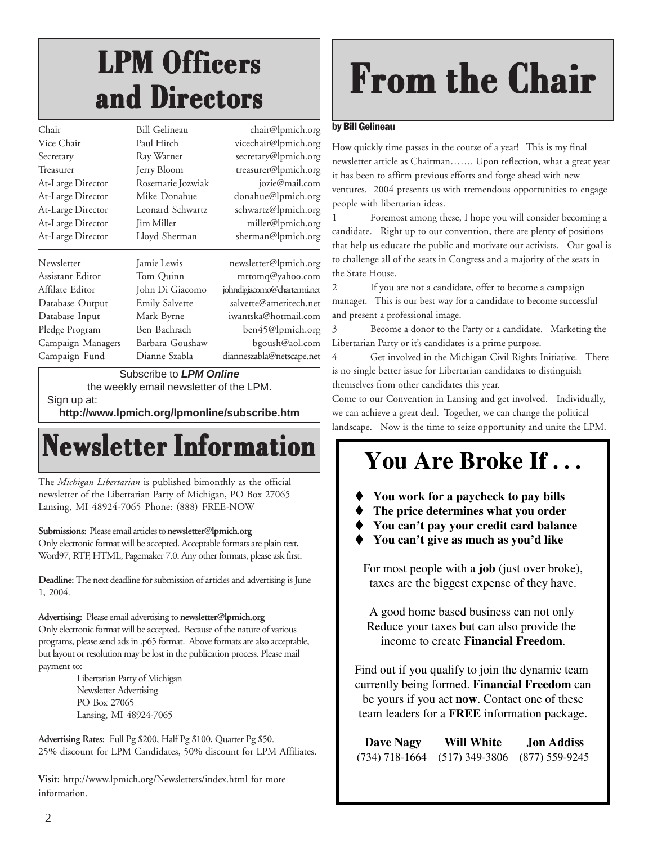# **LPM Officers LPM Officers LPM Officers and Directors and Directors and Directors**

| Chair             | <b>Bill Gelineau</b>  | chair@lpmich.org            |
|-------------------|-----------------------|-----------------------------|
| Vice Chair        | Paul Hitch            | vicechair@lpmich.org        |
| Secretary         | Ray Warner            | secretary@lpmich.org        |
| Treasurer         | Jerry Bloom           | treasurer@lpmich.org        |
| At-Large Director | Rosemarie Jozwiak     | jozie@mail.com              |
| At-Large Director | Mike Donahue          | donahue@lpmich.org          |
| At-Large Director | Leonard Schwartz      | schwartz@lpmich.org         |
| At-Large Director | <b>Jim Miller</b>     | miller@lpmich.org           |
| At-Large Director | Lloyd Sherman         | sherman@lpmich.org          |
|                   |                       |                             |
| Newsletter        | Jamie Lewis           | newsletter@lpmich.org       |
|                   |                       |                             |
| Assistant Editor  | Tom Quinn             | mrtomq@yahoo.com            |
| Affilate Editor   | John Di Giacomo       | johndigiacomo@chartermi.net |
| Database Output   | <b>Emily Salvette</b> | salvette@ameritech.net      |
| Database Input    | Mark Byrne            | iwantska@hotmail.com        |
| Pledge Program    | Ben Bachrach          | ben45@lpmich.org            |
| Campaign Managers | Barbara Goushaw       | bgoush@aol.com              |
| Campaign Fund     | Dianne Szabla         | dianneszabla@netscape.net   |

Subscribe to *LPM Online*

the weekly email newsletter of the LPM. Sign up at:

**http://www.lpmich.org/lpmonline/subscribe.htm**

# **Newsletter Information**

The *Michigan Libertarian* is published bimonthly as the official newsletter of the Libertarian Party of Michigan, PO Box 27065 Lansing, MI 48924-7065 Phone: (888) FREE-NOW

#### **Submissions:** Please email articles to **newsletter@lpmich.org**

Only electronic format will be accepted. Acceptable formats are plain text, Word97, RTF, HTML, Pagemaker 7.0. Any other formats, please ask first.

**Deadline:** The next deadline for submission of articles and advertising is June 1, 2004.

**Advertising:** Please email advertising to **newsletter@lpmich.org** Only electronic format will be accepted. Because of the nature of various programs, please send ads in .p65 format. Above formats are also acceptable, but layout or resolution may be lost in the publication process. Please mail payment to:

Libertarian Party of Michigan Newsletter Advertising PO Box 27065 Lansing, MI 48924-7065

**Advertising Rates:** Full Pg \$200, Half Pg \$100, Quarter Pg \$50. 25% discount for LPM Candidates, 50% discount for LPM Affiliates.

**Visit:** http://www.lpmich.org/Newsletters/index.html for more information.

# **From the Chair**

#### by Bill Gelineau

How quickly time passes in the course of a year! This is my final newsletter article as Chairman……. Upon reflection, what a great year it has been to affirm previous efforts and forge ahead with new ventures. 2004 presents us with tremendous opportunities to engage people with libertarian ideas.

1 Foremost among these, I hope you will consider becoming a candidate. Right up to our convention, there are plenty of positions that help us educate the public and motivate our activists. Our goal is to challenge all of the seats in Congress and a majority of the seats in the State House.

2 If you are not a candidate, offer to become a campaign manager. This is our best way for a candidate to become successful and present a professional image.

3 Become a donor to the Party or a candidate. Marketing the Libertarian Party or it's candidates is a prime purpose.

4 Get involved in the Michigan Civil Rights Initiative. There is no single better issue for Libertarian candidates to distinguish themselves from other candidates this year.

Come to our Convention in Lansing and get involved. Individually, we can achieve a great deal. Together, we can change the political landscape. Now is the time to seize opportunity and unite the LPM.

# **You Are Broke If . . .**

- $\bullet$  **You work for a paycheck to pay bills**
- - **The price determines what you order**
- - **You can't pay your credit card balance**
- - **You can't give as much as you'd like**

For most people with a **job** (just over broke), taxes are the biggest expense of they have.

A good home based business can not only Reduce your taxes but can also provide the income to create **Financial Freedom**.

Find out if you qualify to join the dynamic team currently being formed. **Financial Freedom** can be yours if you act **now**. Contact one of these team leaders for a **FREE** information package.

| Dave Nagy        | Will White       | <b>Jon Addiss</b> |  |
|------------------|------------------|-------------------|--|
| $(734)$ 718-1664 | $(517)$ 349-3806 | $(877)$ 559-9245  |  |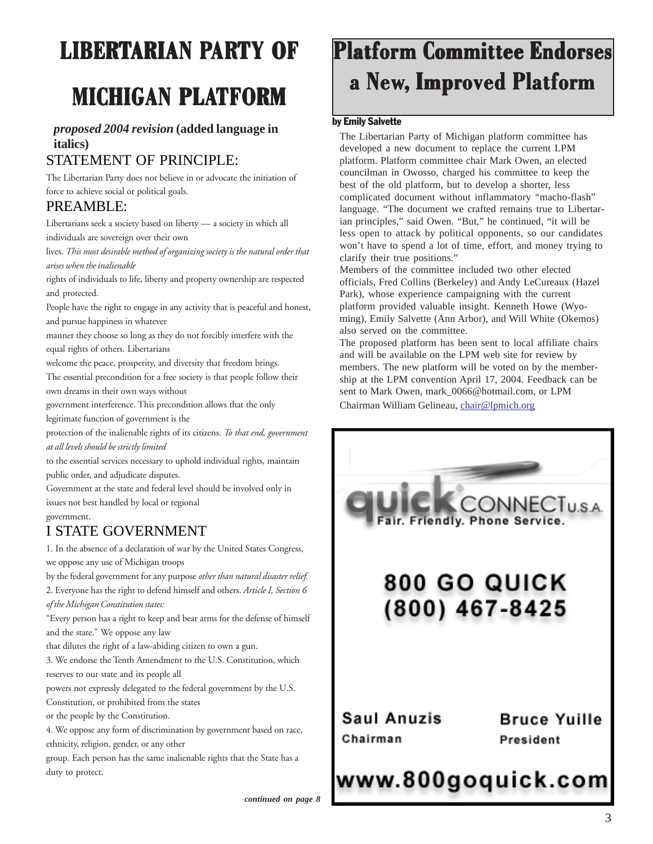# **LIBERTARIAN PARTY OF**

# **MICHIGAN PLATFORM**

### *proposed 2004 revision* **(added language in italics)**

### STATEMENT OF PRINCIPLE:

The Libertarian Party does not believe in or advocate the initiation of force to achieve social or political goals.

### PREAMBLE:

Libertarians seek a society based on liberty — a society in which all individuals are sovereign over their own

lives. *This most desirable method of organizing society is the natural order that arises when the inalienable*

rights of individuals to life, liberty and property ownership are respected and protected.

People have the right to engage in any activity that is peaceful and honest, and pursue happiness in whatever

manner they choose so long as they do not forcibly interfere with the equal rights of others. Libertarians

welcome the peace, prosperity, and diversity that freedom brings.

The essential precondition for a free society is that people follow their own dreams in their own ways without

government interference. This precondition allows that the only

legitimate function of government is the

protection of the inalienable rights of its citizens. *To that end, government at all levels should be strictly limited*

to the essential services necessary to uphold individual rights, maintain public order, and adjudicate disputes.

Government at the state and federal level should be involved only in issues not best handled by local or regional

#### government.

### I STATE GOVERNMENT

1. In the absence of a declaration of war by the United States Congress, we oppose any use of Michigan troops

by the federal government for any purpose *other than natural disaster relief.* 2. Everyone has the right to defend himself and others. *Article I, Section 6*

*of the Michigan Constitution states:*

"Every person has a right to keep and bear arms for the defense of himself and the state." We oppose any law

that dilutes the right of a law-abiding citizen to own a gun.

3. We endorse the Tenth Amendment to the U.S. Constitution, which reserves to our state and its people all

powers not expressly delegated to the federal government by the U.S. Constitution, or prohibited from the states

or the people by the Constitution.

4. We oppose any form of discrimination by government based on race, ethnicity, religion, gender, or any other

group. Each person has the same inalienable rights that the State has a duty to protect.

# **Platform Committee Endorses a New, Improved Platfor oved Platfor oved Platform**

#### by Emily Salvette

The Libertarian Party of Michigan platform committee has developed a new document to replace the current LPM platform. Platform committee chair Mark Owen, an elected councilman in Owosso, charged his committee to keep the best of the old platform, but to develop a shorter, less complicated document without inflammatory "macho-flash" language. "The document we crafted remains true to Libertarian principles," said Owen. "But," he continued, "it will be less open to attack by political opponents, so our candidates won't have to spend a lot of time, effort, and money trying to clarify their true positions."

Members of the committee included two other elected officials, Fred Collins (Berkeley) and Andy LeCureaux (Hazel Park), whose experience campaigning with the current platform provided valuable insight. Kenneth Howe (Wyoming), Emily Salvette (Ann Arbor), and Will White (Okemos) also served on the committee.

The proposed platform has been sent to local affiliate chairs and will be available on the LPM web site for review by members. The new platform will be voted on by the membership at the LPM convention April 17, 2004. Feedback can be sent to Mark Owen, mark\_0066@hotmail.com, or LPM Chairman William Gelineau, chair@lpmich.org

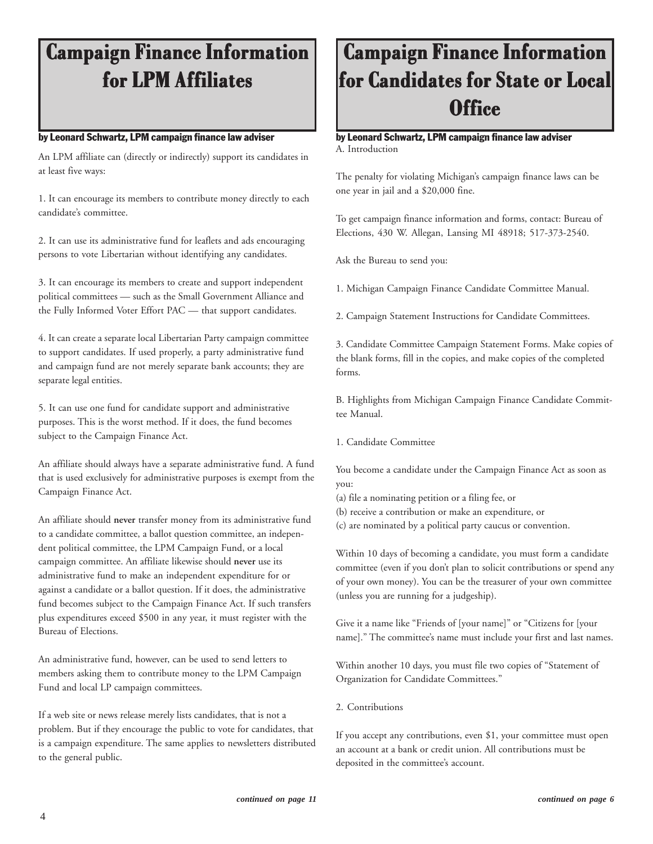# **Campaign Finance Information Campaign Finance Information for LPM Affiliates Affiliates for LPM**

#### by Leonard Schwartz, LPM campaign finance law adviser

An LPM affiliate can (directly or indirectly) support its candidates in at least five ways:

1. It can encourage its members to contribute money directly to each candidate's committee.

2. It can use its administrative fund for leaflets and ads encouraging persons to vote Libertarian without identifying any candidates.

3. It can encourage its members to create and support independent political committees — such as the Small Government Alliance and the Fully Informed Voter Effort PAC — that support candidates.

4. It can create a separate local Libertarian Party campaign committee to support candidates. If used properly, a party administrative fund and campaign fund are not merely separate bank accounts; they are separate legal entities.

5. It can use one fund for candidate support and administrative purposes. This is the worst method. If it does, the fund becomes subject to the Campaign Finance Act.

An affiliate should always have a separate administrative fund. A fund that is used exclusively for administrative purposes is exempt from the Campaign Finance Act.

An affiliate should **never** transfer money from its administrative fund to a candidate committee, a ballot question committee, an independent political committee, the LPM Campaign Fund, or a local campaign committee. An affiliate likewise should **never** use its administrative fund to make an independent expenditure for or against a candidate or a ballot question. If it does, the administrative fund becomes subject to the Campaign Finance Act. If such transfers plus expenditures exceed \$500 in any year, it must register with the Bureau of Elections.

An administrative fund, however, can be used to send letters to members asking them to contribute money to the LPM Campaign Fund and local LP campaign committees.

If a web site or news release merely lists candidates, that is not a problem. But if they encourage the public to vote for candidates, that is a campaign expenditure. The same applies to newsletters distributed to the general public.

# **Campaign Finance Information Campaign Finance Information for Candidates for State or Local Office**

#### by Leonard Schwartz, LPM campaign finance law adviser A. Introduction

The penalty for violating Michigan's campaign finance laws can be one year in jail and a \$20,000 fine.

To get campaign finance information and forms, contact: Bureau of Elections, 430 W. Allegan, Lansing MI 48918; 517-373-2540.

Ask the Bureau to send you:

1. Michigan Campaign Finance Candidate Committee Manual.

2. Campaign Statement Instructions for Candidate Committees.

3. Candidate Committee Campaign Statement Forms. Make copies of the blank forms, fill in the copies, and make copies of the completed forms.

B. Highlights from Michigan Campaign Finance Candidate Committee Manual.

1. Candidate Committee

You become a candidate under the Campaign Finance Act as soon as you:

(a) file a nominating petition or a filing fee, or

- (b) receive a contribution or make an expenditure, or
- (c) are nominated by a political party caucus or convention.

Within 10 days of becoming a candidate, you must form a candidate committee (even if you don't plan to solicit contributions or spend any of your own money). You can be the treasurer of your own committee (unless you are running for a judgeship).

Give it a name like "Friends of [your name]" or "Citizens for [your name]." The committee's name must include your first and last names.

Within another 10 days, you must file two copies of "Statement of Organization for Candidate Committees."

2. Contributions

If you accept any contributions, even \$1, your committee must open an account at a bank or credit union. All contributions must be deposited in the committee's account.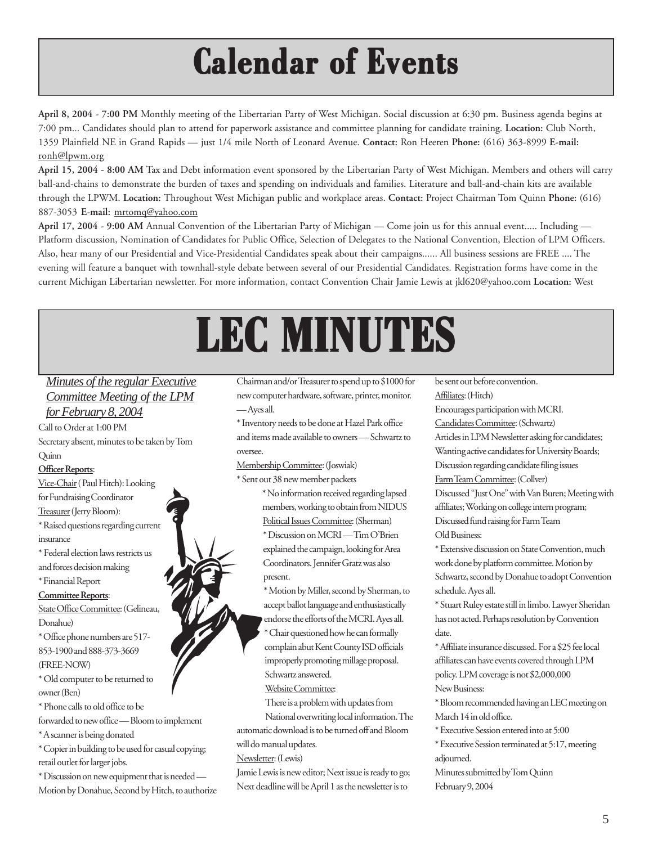# **Calendar of Events Calendar of Events Calendar of Events**

**April 8, 2004 - 7:00 PM** Monthly meeting of the Libertarian Party of West Michigan. Social discussion at 6:30 pm. Business agenda begins at 7:00 pm... Candidates should plan to attend for paperwork assistance and committee planning for candidate training. **Location:** Club North, 1359 Plainfield NE in Grand Rapids — just 1/4 mile North of Leonard Avenue. **Contact:** Ron Heeren **Phone:** (616) 363-8999 **E-mail:** ronh@lpwm.org

**April 15, 2004 - 8:00 AM** Tax and Debt information event sponsored by the Libertarian Party of West Michigan. Members and others will carry ball-and-chains to demonstrate the burden of taxes and spending on individuals and families. Literature and ball-and-chain kits are available through the LPWM. **Location:** Throughout West Michigan public and workplace areas. **Contact:** Project Chairman Tom Quinn **Phone:** (616) 887-3053 **E-mail:** mrtomq@yahoo.com

**April 17, 2004 - 9:00 AM** Annual Convention of the Libertarian Party of Michigan — Come join us for this annual event..... Including — Platform discussion, Nomination of Candidates for Public Office, Selection of Delegates to the National Convention, Election of LPM Officers. Also, hear many of our Presidential and Vice-Presidential Candidates speak about their campaigns...... All business sessions are FREE .... The evening will feature a banquet with townhall-style debate between several of our Presidential Candidates. Registration forms have come in the current Michigan Libertarian newsletter. For more information, contact Convention Chair Jamie Lewis at jkl620@yahoo.com **Location:** West

# **LEC MINUTES LEC MINUTES LEC MINUTES**

### *Minutes of the regular Executive Committee Meeting of the LPM for February 8, 2004*

Call to Order at 1:00 PM Secretary absent, minutes to be taken by Tom

## Quinn

#### **Officer Reports**:

Vice-Chair ( Paul Hitch): Looking for Fundraising Coordinator Treasurer (Jerry Bloom): \* Raised questions regarding current insurance \* Federal election laws restricts us and forces decision making \* Financial Report **Committee Reports**: State Office Committee: (Gelineau, Donahue) \* Office phone numbers are 517- 853-1900 and 888-373-3669 (FREE-NOW) \* Old computer to be returned to owner (Ben)

\* Phone calls to old office to be

forwarded to new office — Bloom to implement \* A scanner is being donated

\* Copier in building to be used for casual copying; retail outlet for larger jobs.

\* Discussion on new equipment that is needed — Motion by Donahue, Second by Hitch, to authorize

Chairman and/or Treasurer to spend up to \$1000 for new computer hardware, software, printer, monitor. — Ayes all.

\* Inventory needs to be done at Hazel Park office and items made available to owners — Schwartz to oversee.

Membership Committee: (Joswiak)

\* Sent out 38 new member packets

\* No information received regarding lapsed members, working to obtain from NIDUS Political Issues Committee: (Sherman) \* Discussion on MCRI — Tim O'Brien explained the campaign, looking for Area Coordinators. Jennifer Gratz was also present.

\* Motion by Miller, second by Sherman, to accept ballot language and enthusiastically endorse the efforts of the MCRI. Ayes all.

\* Chair questioned how he can formally complain abut Kent County ISD officials improperly promoting millage proposal. Schwartz answered.

Website Committee:

There is a problem with updates from

National overwriting local information. The automatic download is to be turned off and Bloom will do manual updates.

Newsletter: (Lewis)

Jamie Lewis is new editor; Next issue is ready to go; Next deadline will be April 1 as the newsletter is to

be sent out before convention. Affiliates: (Hitch) Encourages participation with MCRI. Candidates Committee: (Schwartz) Articles in LPM Newsletter asking for candidates; Wanting active candidates for University Boards; Discussion regarding candidate filing issues Farm Team Committee: (Collver) Discussed "Just One" with Van Buren; Meeting with affiliates; Working on college intern program; Discussed fund raising for Farm Team Old Business: \* Extensive discussion on State Convention, much work done by platform committee. Motion by Schwartz, second by Donahue to adopt Convention schedule. Ayes all.

\* Stuart Ruley estate still in limbo. Lawyer Sheridan has not acted. Perhaps resolution by Convention date.

\* Affiliate insurance discussed. For a \$25 fee local affiliates can have events covered through LPM policy. LPM coverage is not \$2,000,000 New Business:

\* Bloom recommended having an LEC meeting on March 14 in old office.

\* Executive Session entered into at 5:00

\* Executive Session terminated at 5:17, meeting adjourned.

Minutes submitted by Tom Quinn

February 9, 2004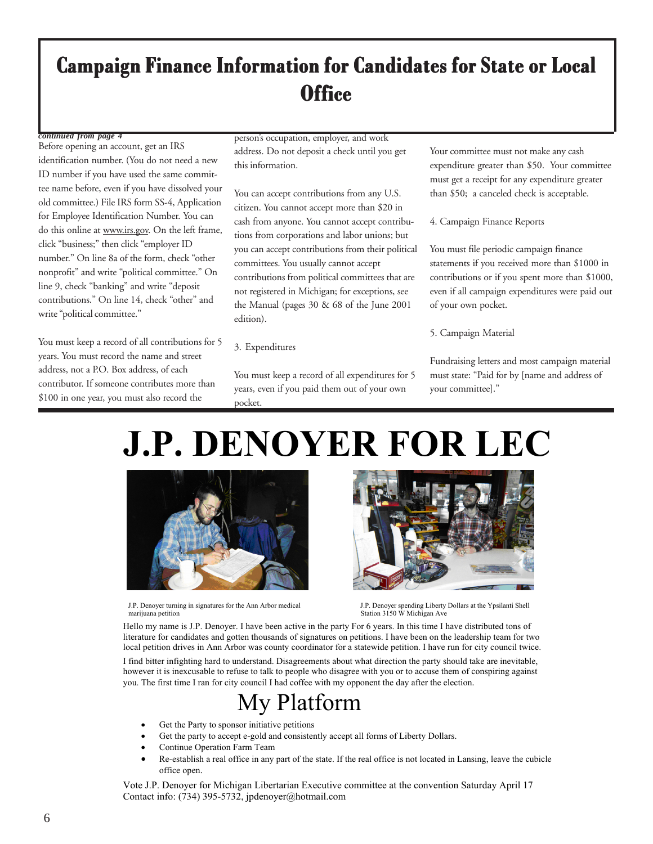## **Campaign Finance Information for Candidates for State or Local Office**

#### *continued from page 4*

Before opening an account, get an IRS identification number. (You do not need a new ID number if you have used the same committee name before, even if you have dissolved your old committee.) File IRS form SS-4, Application for Employee Identification Number. You can do this online at www.irs.gov. On the left frame, click "business;" then click "employer ID number." On line 8a of the form, check "other nonprofit" and write "political committee." On line 9, check "banking" and write "deposit contributions." On line 14, check "other" and write "political committee."

You must keep a record of all contributions for 5 years. You must record the name and street address, not a P.O. Box address, of each contributor. If someone contributes more than \$100 in one year, you must also record the

person's occupation, employer, and work address. Do not deposit a check until you get this information.

You can accept contributions from any U.S. citizen. You cannot accept more than \$20 in cash from anyone. You cannot accept contributions from corporations and labor unions; but you can accept contributions from their political committees. You usually cannot accept contributions from political committees that are not registered in Michigan; for exceptions, see the Manual (pages 30 & 68 of the June 2001 edition).

#### 3. Expenditures

You must keep a record of all expenditures for 5 years, even if you paid them out of your own pocket.

Your committee must not make any cash expenditure greater than \$50. Your committee must get a receipt for any expenditure greater than \$50; a canceled check is acceptable.

4. Campaign Finance Reports

You must file periodic campaign finance statements if you received more than \$1000 in contributions or if you spent more than \$1000, even if all campaign expenditures were paid out of your own pocket.

5. Campaign Material

Fundraising letters and most campaign material must state: "Paid for by [name and address of your committee]."

# **J.P. DENOYER FOR LEC**



J.P. Denoyer turning in signatures for the Ann Arbor medical J.P. Denoyer turning in signatures for the Ann Arbor medical J.P. Denoyer spending Liberty Dollars at the Ypsilanti Shell<br>
Station 3150 W Michigan Ave



Hello my name is J.P. Denoyer. I have been active in the party For 6 years. In this time I have distributed tons of literature for candidates and gotten thousands of signatures on petitions. I have been on the leadership team for two local petition drives in Ann Arbor was county coordinator for a statewide petition. I have run for city council twice.

I find bitter infighting hard to understand. Disagreements about what direction the party should take are inevitable, however it is inexcusable to refuse to talk to people who disagree with you or to accuse them of conspiring against you. The first time I ran for city council I had coffee with my opponent the day after the election.

## My Platform

- Get the Party to sponsor initiative petitions
- Get the party to accept e-gold and consistently accept all forms of Liberty Dollars.
- Continue Operation Farm Team
- Re-establish a real office in any part of the state. If the real office is not located in Lansing, leave the cubicle office open.

Vote J.P. Denoyer for Michigan Libertarian Executive committee at the convention Saturday April 17 Contact info: (734) 395-5732, jpdenoyer@hotmail.com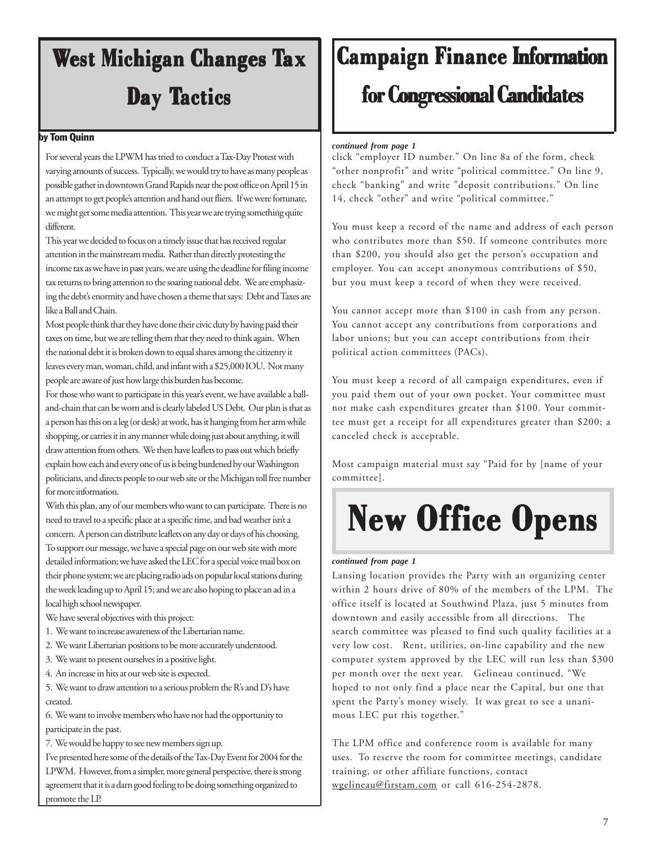# **West Michigan Changes Tax Day Tactics**

#### by Tom Quinn

For several years the LPWM has tried to conduct a Tax-Day Protest with varying amounts of success. Typically, we would try to have as many people as possible gather in downtown Grand Rapids near the post office on April 15 in an attempt to get people's attention and hand out fliers. If we were fortunate, we might get some media attention. This year we are trying something quite different.

This year we decided to focus on a timely issue that has received regular attention in the mainstream media. Rather than directly protesting the income tax as we have in past years, we are using the deadline for filing income tax returns to bring attention to the soaring national debt. We are emphasizing the debt's enormity and have chosen a theme that says: Debt and Taxes are like a Ball and Chain.

Most people think that they have done their civic duty by having paid their taxes on time, but we are telling them that they need to think again. When the national debt it is broken down to equal shares among the citizenry it leaves every man, woman, child, and infant with a \$25,000 IOU. Not many people are aware of just how large this burden has become.

For those who want to participate in this year's event, we have available a balland-chain that can be worn and is clearly labeled US Debt. Our plan is that as a person has this on a leg (or desk) at work, has it hanging from her arm while shopping, or carries it in any manner while doing just about anything, it will draw attention from others. We then have leaflets to pass out which briefly explain how each and every one of us is being burdened by our Washington politicians, and directs people to our web site or the Michigan toll free number for more information.

With this plan, any of our members who want to can participate. There is no need to travel to a specific place at a specific time, and bad weather isn't a concern. A person can distribute leaflets on any day or days of his choosing. To support our message, we have a special page on our web site with more detailed information; we have asked the LEC for a special voice mail box on their phone system; we are placing radio ads on popular local stations during the week leading up to April 15; and we are also hoping to place an ad in a local high school newspaper.

We have several objectives with this project:

- 1. We want to increase awareness of the Libertarian name.
- 2. We want Libertarian positions to be more accurately understood.
- 3. We want to present ourselves in a positive light.
- 4. An increase in hits at our web site is expected.

5. We want to draw attention to a serious problem the R's and D's have created.

6. We want to involve members who have not had the opportunity to participate in the past.

7. We would be happy to see new members sign up.

I've presented here some of the details of the Tax-Day Event for 2004 for the LPWM. However, from a simpler, more general perspective, there is strong agreement that it is a darn good feeling to be doing something organized to promote the LP.

# **Campaign Finance Information**

## **for Congressional Candidates for Congressional Candidates for Congressional Candidates**

#### *continued from page 1*

click "employer ID number." On line 8a of the form, check "other nonprofit" and write "political committee." On line 9, check "banking" and write "deposit contributions." On line 14, check "other" and write "political committee."

You must keep a record of the name and address of each person who contributes more than \$50. If someone contributes more than \$200, you should also get the person's occupation and employer. You can accept anonymous contributions of \$50, but you must keep a record of when they were received.

You cannot accept more than \$100 in cash from any person. You cannot accept any contributions from corporations and labor unions; but you can accept contributions from their political action committees (PACs).

You must keep a record of all campaign expenditures, even if you paid them out of your own pocket. Your committee must not make cash expenditures greater than \$100. Your committee must get a receipt for all expenditures greater than \$200; a canceled check is acceptable.

Most campaign material must say "Paid for by [name of your committee].

# **New Office Opens New Office Opens**

#### *continued from page 1*

Lansing location provides the Party with an organizing center within 2 hours drive of 80% of the members of the LPM. The office itself is located at Southwind Plaza, just 5 minutes from downtown and easily accessible from all directions. The search committee was pleased to find such quality facilities at a very low cost. Rent, utilities, on-line capability and the new computer system approved by the LEC will run less than \$300 per month over the next year. Gelineau continued, "We hoped to not only find a place near the Capital, but one that spent the Party's money wisely. It was great to see a unanimous LEC put this together."

The LPM office and conference room is available for many uses. To reserve the room for committee meetings, candidate training, or other affiliate functions, contact wgelineau@firstam.com or call 616-254-2878.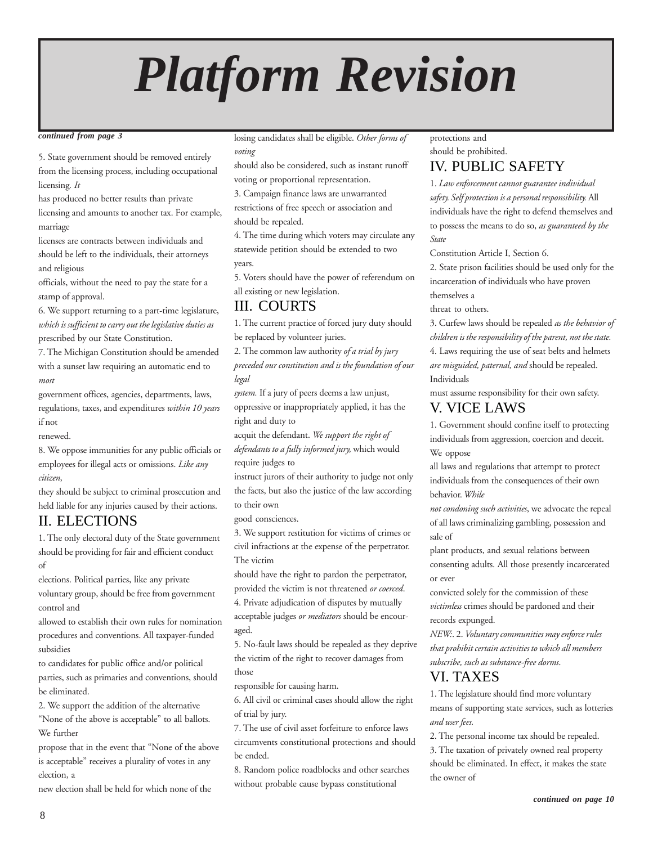# *Platform Revision*

#### *continued from page 3*

5. State government should be removed entirely from the licensing process, including occupational licensing*. It*

has produced no better results than private licensing and amounts to another tax. For example, marriage

licenses are contracts between individuals and should be left to the individuals, their attorneys and religious

officials, without the need to pay the state for a stamp of approval.

6. We support returning to a part-time legislature, *which is sufficient to carry out the legislative duties as* prescribed by our State Constitution.

7. The Michigan Constitution should be amended with a sunset law requiring an automatic end to *most*

government offices, agencies, departments, laws, regulations, taxes, and expenditures *within 10 years* if not

renewed.

8. We oppose immunities for any public officials or employees for illegal acts or omissions. *Like any citizen*,

they should be subject to criminal prosecution and held liable for any injuries caused by their actions.

## II. ELECTIONS

1. The only electoral duty of the State government should be providing for fair and efficient conduct of

elections. Political parties, like any private

voluntary group, should be free from government control and

allowed to establish their own rules for nomination procedures and conventions. All taxpayer-funded subsidies

to candidates for public office and/or political parties, such as primaries and conventions, should be eliminated.

2. We support the addition of the alternative

"None of the above is acceptable" to all ballots. We further

propose that in the event that "None of the above is acceptable" receives a plurality of votes in any election, a

new election shall be held for which none of the

losing candidates shall be eligible. *Other forms of voting*

should also be considered, such as instant runoff voting or proportional representation.

3. Campaign finance laws are unwarranted restrictions of free speech or association and

should be repealed.

4. The time during which voters may circulate any statewide petition should be extended to two years.

5. Voters should have the power of referendum on all existing or new legislation.

## III. COURTS

1. The current practice of forced jury duty should be replaced by volunteer juries.

2*.* The common law authority *of a trial by jury*

*preceded our constitution and is the foundation of our legal*

*system.* If a jury of peers deems a law unjust, oppressive or inappropriately applied, it has the right and duty to

acquit the defendant. *We support the right of defendants to a fully informed jury,* which would require judges to

instruct jurors of their authority to judge not only the facts, but also the justice of the law according to their own

good consciences.

3. We support restitution for victims of crimes or civil infractions at the expense of the perpetrator. The victim

should have the right to pardon the perpetrator, provided the victim is not threatened *or coerced*.

4. Private adjudication of disputes by mutually acceptable judges *or mediators* should be encouraged.

5. No-fault laws should be repealed as they deprive the victim of the right to recover damages from those

responsible for causing harm.

6. All civil or criminal cases should allow the right of trial by jury.

7. The use of civil asset forfeiture to enforce laws circumvents constitutional protections and should be ended.

8. Random police roadblocks and other searches without probable cause bypass constitutional

#### protections and

should be prohibited.

## IV. PUBLIC SAFETY

1. *Law enforcement cannot guarantee individual safety. Self protection is a personal responsibility.* All individuals have the right to defend themselves and to possess the means to do so, *as guaranteed by the State*

Constitution Article I, Section 6.

2. State prison facilities should be used only for the incarceration of individuals who have proven themselves a

threat to others.

3. Curfew laws should be repealed *as the behavior of children is the responsibility of the parent, not the state.* 4. Laws requiring the use of seat belts and helmets *are misguided, paternal, and* should be repealed. Individuals

must assume responsibility for their own safety. V. VICE LAWS

1. Government should confine itself to protecting individuals from aggression, coercion and deceit. We oppose

all laws and regulations that attempt to protect individuals from the consequences of their own behavior. *While*

*not condoning such activities*, we advocate the repeal of all laws criminalizing gambling, possession and sale of

plant products, and sexual relations between consenting adults. All those presently incarcerated or ever

convicted solely for the commission of these *victimless* crimes should be pardoned and their records expunged.

*NEW:*. 2. *Voluntary communities may enforce rules that prohibit certain activities to which all members subscribe, such as substance-free dorms*.

### VI. TAXES

1. The legislature should find more voluntary means of supporting state services, such as lotteries *and user fees.*

2. The personal income tax should be repealed. 3. The taxation of privately owned real property should be eliminated. In effect, it makes the state the owner of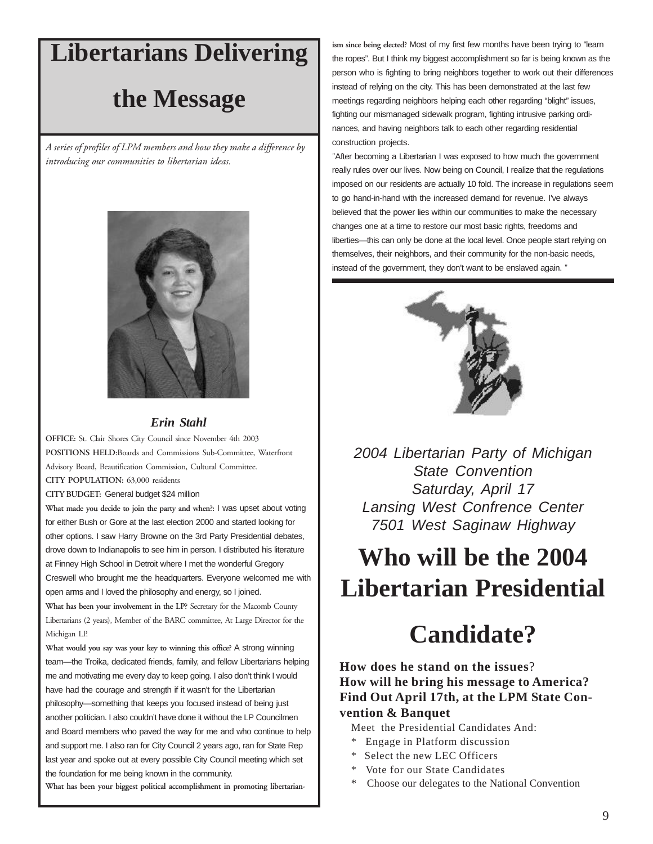## **Libertarians Delivering**

## **the Message**

*A series of profiles of LPM members and how they make a difference by introducing our communities to libertarian ideas.*



#### *Erin Stahl*

**OFFICE:** St. Clair Shores City Council since November 4th 2003 **POSITIONS HELD:**Boards and Commissions Sub-Committee, Waterfront Advisory Board, Beautification Commission, Cultural Committee.

**CITY POPULATION:** 63,000 residents

**CITY BUDGET:** General budget \$24 million

**What made you decide to join the party and when?:** I was upset about voting for either Bush or Gore at the last election 2000 and started looking for other options. I saw Harry Browne on the 3rd Party Presidential debates, drove down to Indianapolis to see him in person. I distributed his literature at Finney High School in Detroit where I met the wonderful Gregory Creswell who brought me the headquarters. Everyone welcomed me with open arms and I loved the philosophy and energy, so I joined. **What has been your involvement in the LP?** Secretary for the Macomb County Libertarians (2 years), Member of the BARC committee, At Large Director for the

Michigan LP. **What would you say was your key to winning this office?** A strong winning

team—the Troika, dedicated friends, family, and fellow Libertarians helping me and motivating me every day to keep going. I also don't think I would have had the courage and strength if it wasn't for the Libertarian philosophy—something that keeps you focused instead of being just another politician. I also couldn't have done it without the LP Councilmen and Board members who paved the way for me and who continue to help and support me. I also ran for City Council 2 years ago, ran for State Rep last year and spoke out at every possible City Council meeting which set the foundation for me being known in the community.

**What has been your biggest political accomplishment in promoting libertarian-**

**ism since being elected?** Most of my first few months have been trying to "learn the ropes". But I think my biggest accomplishment so far is being known as the person who is fighting to bring neighbors together to work out their differences instead of relying on the city. This has been demonstrated at the last few meetings regarding neighbors helping each other regarding "blight" issues, fighting our mismanaged sidewalk program, fighting intrusive parking ordinances, and having neighbors talk to each other regarding residential construction projects.

"After becoming a Libertarian I was exposed to how much the government really rules over our lives. Now being on Council, I realize that the regulations imposed on our residents are actually 10 fold. The increase in regulations seem to go hand-in-hand with the increased demand for revenue. I've always believed that the power lies within our communities to make the necessary changes one at a time to restore our most basic rights, freedoms and liberties—this can only be done at the local level. Once people start relying on themselves, their neighbors, and their community for the non-basic needs, instead of the government, they don't want to be enslaved again. "



*2004 Libertarian Party of Michigan State Convention Saturday, April 17 Lansing West Confrence Center 7501 West Saginaw Highway*

# **Who will be the 2004 Libertarian Presidential**

# **Candidate?**

### **How does he stand on the issues**? **How will he bring his message to America? Find Out April 17th, at the LPM State Convention & Banquet**

Meet the Presidential Candidates And:

- Engage in Platform discussion
- \* Select the new LEC Officers
- Vote for our State Candidates
- Choose our delegates to the National Convention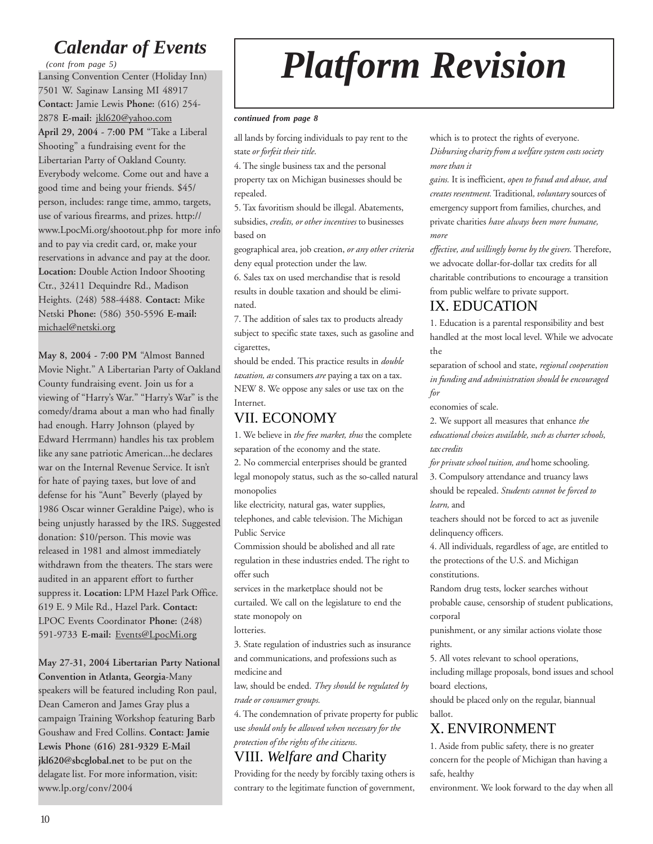## *Calendar of Events*

Lansing Convention Center (Holiday Inn) 7501 W. Saginaw Lansing MI 48917 **Contact:** Jamie Lewis **Phone:** (616) 254- 2878 **E-mail:** jkl620@yahoo.com **April 29, 2004 - 7:00 PM** "Take a Liberal Shooting" a fundraising event for the Libertarian Party of Oakland County. Everybody welcome. Come out and have a good time and being your friends. \$45/ person, includes: range time, ammo, targets, use of various firearms, and prizes. http:// www.LpocMi.org/shootout.php for more info and to pay via credit card, or, make your reservations in advance and pay at the door. **Location:** Double Action Indoor Shooting Ctr., 32411 Dequindre Rd., Madison Heights. (248) 588-4488. **Contact:** Mike Netski **Phone:** (586) 350-5596 **E-mail:** michael@netski.org *(cont from page 5)*

**May 8, 2004 - 7:00 PM** "Almost Banned Movie Night." A Libertarian Party of Oakland County fundraising event. Join us for a viewing of "Harry's War." "Harry's War" is the comedy/drama about a man who had finally had enough. Harry Johnson (played by Edward Herrmann) handles his tax problem like any sane patriotic American...he declares war on the Internal Revenue Service. It isn't for hate of paying taxes, but love of and defense for his "Aunt" Beverly (played by 1986 Oscar winner Geraldine Paige), who is being unjustly harassed by the IRS. Suggested donation: \$10/person. This movie was released in 1981 and almost immediately withdrawn from the theaters. The stars were audited in an apparent effort to further suppress it. **Location:** LPM Hazel Park Office. 619 E. 9 Mile Rd., Hazel Park. **Contact:** LPOC Events Coordinator **Phone:** (248) 591-9733 **E-mail:** Events@LpocMi.org

**May 27-31, 2004 Libertarian Party National Convention in Atlanta, Georgia**-Many speakers will be featured including Ron paul, Dean Cameron and James Gray plus a campaign Training Workshop featuring Barb Goushaw and Fred Collins. **Contact: Jamie Lewis Phone (616) 281-9329 E-Mail jkl620@sbcglobal.net** to be put on the delagate list. For more information, visit: www.lp.org/conv/2004

# *Platform Revision*

#### *continued from page 8*

all lands by forcing individuals to pay rent to the state *or forfeit their title*.

4. The single business tax and the personal property tax on Michigan businesses should be repealed.

5. Tax favoritism should be illegal. Abatements, subsidies, *credits, or other incentives* to businesses based on

geographical area, job creation, *or any other criteria* deny equal protection under the law.

6. Sales tax on used merchandise that is resold results in double taxation and should be eliminated.

7. The addition of sales tax to products already subject to specific state taxes, such as gasoline and cigarettes,

should be ended. This practice results in *double taxation, as* consumers *are* paying a tax on a tax. NEW 8. We oppose any sales or use tax on the Internet.

## VII. ECONOMY

1. We believe in *the free market, thus* the complete separation of the economy and the state.

2. No commercial enterprises should be granted legal monopoly status, such as the so-called natural monopolies

like electricity, natural gas, water supplies,

telephones, and cable television. The Michigan Public Service

Commission should be abolished and all rate regulation in these industries ended. The right to offer such

services in the marketplace should not be curtailed. We call on the legislature to end the state monopoly on

lotteries.

3. State regulation of industries such as insurance and communications, and professions such as medicine and

law, should be ended. *They should be regulated by trade or consumer groups.*

4. The condemnation of private property for public use *should only be allowed when necessary for the protection of the rights of the citizens*.

## VIII. *Welfare and* Charity

Providing for the needy by forcibly taxing others is contrary to the legitimate function of government, which is to protect the rights of everyone. *Disbursing charity from a welfare system costs society more than it*

*gains.* It is inefficient, *open to fraud and abuse, and creates resentment.* Traditional*, voluntary* sources of emergency support from families, churches, and private charities *have always been more humane, more*

*effective, and willingly borne by the givers.* Therefore, we advocate dollar-for-dollar tax credits for all charitable contributions to encourage a transition from public welfare to private support.

### IX. EDUCATION

1. Education is a parental responsibility and best handled at the most local level. While we advocate the

separation of school and state, *regional cooperation in funding and administration should be encouraged for*

economies of scale.

2. We support all measures that enhance *the educational choices available, such as charter schools, tax credits*

*for private school tuition, and* home schooling. 3. Compulsory attendance and truancy laws should be repealed. *Students cannot be forced to learn,* and

teachers should not be forced to act as juvenile delinquency officers.

4. All individuals, regardless of age, are entitled to the protections of the U.S. and Michigan constitutions.

Random drug tests, locker searches without probable cause, censorship of student publications, corporal

punishment, or any similar actions violate those rights.

5. All votes relevant to school operations,

including millage proposals, bond issues and school board elections,

should be placed only on the regular, biannual ballot.

## X. ENVIRONMENT

1. Aside from public safety, there is no greater concern for the people of Michigan than having a safe, healthy

environment. We look forward to the day when all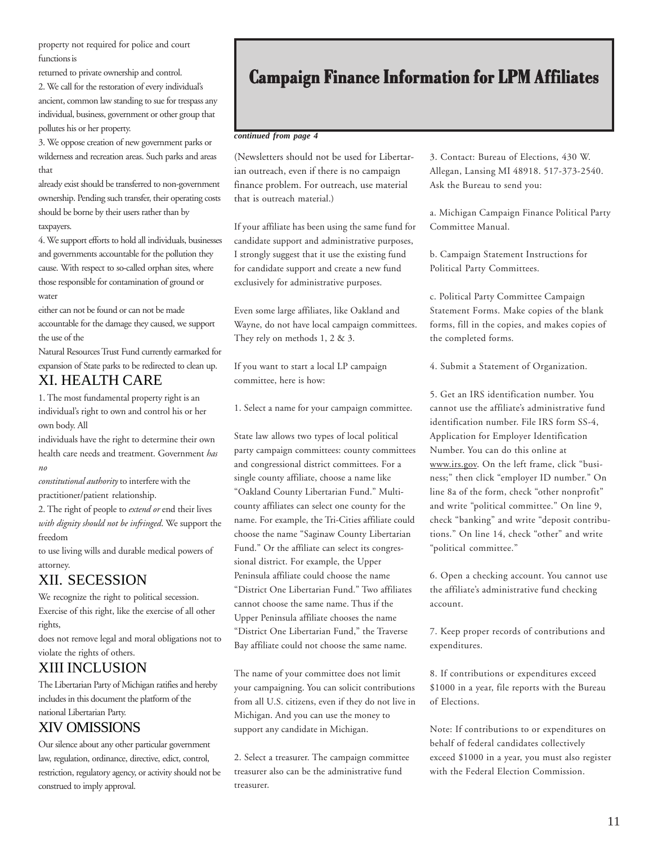property not required for police and court functions is

returned to private ownership and control.

2. We call for the restoration of every individual's ancient, common law standing to sue for trespass any individual, business, government or other group that pollutes his or her property.

3. We oppose creation of new government parks or wilderness and recreation areas. Such parks and areas that

already exist should be transferred to non-government ownership. Pending such transfer, their operating costs should be borne by their users rather than by taxpayers.

4. We support efforts to hold all individuals, businesses and governments accountable for the pollution they cause. With respect to so-called orphan sites, where those responsible for contamination of ground or water

either can not be found or can not be made accountable for the damage they caused, we support the use of the

Natural Resources Trust Fund currently earmarked for expansion of State parks to be redirected to clean up.

## XI. HEALTH CARE

1. The most fundamental property right is an individual's right to own and control his or her own body. All

individuals have the right to determine their own health care needs and treatment. Government *has no*

*constitutional authority* to interfere with the practitioner/patient relationship.

2. The right of people to *extend or* end their lives *with dignity should not be infringed*. We support the freedom

to use living wills and durable medical powers of attorney.

## XII. SECESSION

We recognize the right to political secession. Exercise of this right, like the exercise of all other rights,

does not remove legal and moral obligations not to violate the rights of others.

## XIII INCLUSION

The Libertarian Party of Michigan ratifies and hereby includes in this document the platform of the national Libertarian Party.

## XIV OMISSIONS

Our silence about any other particular government law, regulation, ordinance, directive, edict, control, restriction, regulatory agency, or activity should not be construed to imply approval.

## **Campaign Finance Information for LPM Affiliates**

#### *continued from page 4*

(Newsletters should not be used for Libertarian outreach, even if there is no campaign finance problem. For outreach, use material that is outreach material.)

If your affiliate has been using the same fund for candidate support and administrative purposes, I strongly suggest that it use the existing fund for candidate support and create a new fund exclusively for administrative purposes.

Even some large affiliates, like Oakland and Wayne, do not have local campaign committees. They rely on methods 1, 2 & 3.

If you want to start a local LP campaign committee, here is how:

1. Select a name for your campaign committee.

State law allows two types of local political party campaign committees: county committees and congressional district committees. For a single county affiliate, choose a name like "Oakland County Libertarian Fund." Multicounty affiliates can select one county for the name. For example, the Tri-Cities affiliate could choose the name "Saginaw County Libertarian Fund." Or the affiliate can select its congressional district. For example, the Upper Peninsula affiliate could choose the name "District One Libertarian Fund." Two affiliates cannot choose the same name. Thus if the Upper Peninsula affiliate chooses the name "District One Libertarian Fund," the Traverse Bay affiliate could not choose the same name.

The name of your committee does not limit your campaigning. You can solicit contributions from all U.S. citizens, even if they do not live in Michigan. And you can use the money to support any candidate in Michigan.

2. Select a treasurer. The campaign committee treasurer also can be the administrative fund treasurer.

3. Contact: Bureau of Elections, 430 W. Allegan, Lansing MI 48918. 517-373-2540. Ask the Bureau to send you:

a. Michigan Campaign Finance Political Party Committee Manual.

b. Campaign Statement Instructions for Political Party Committees.

c. Political Party Committee Campaign Statement Forms. Make copies of the blank forms, fill in the copies, and makes copies of the completed forms.

4. Submit a Statement of Organization.

5. Get an IRS identification number. You cannot use the affiliate's administrative fund identification number. File IRS form SS-4, Application for Employer Identification Number. You can do this online at www.irs.gov. On the left frame, click "business;" then click "employer ID number." On line 8a of the form, check "other nonprofit" and write "political committee." On line 9, check "banking" and write "deposit contributions." On line 14, check "other" and write "political committee."

6. Open a checking account. You cannot use the affiliate's administrative fund checking account.

7. Keep proper records of contributions and expenditures.

8. If contributions or expenditures exceed \$1000 in a year, file reports with the Bureau of Elections.

Note: If contributions to or expenditures on behalf of federal candidates collectively exceed \$1000 in a year, you must also register with the Federal Election Commission.